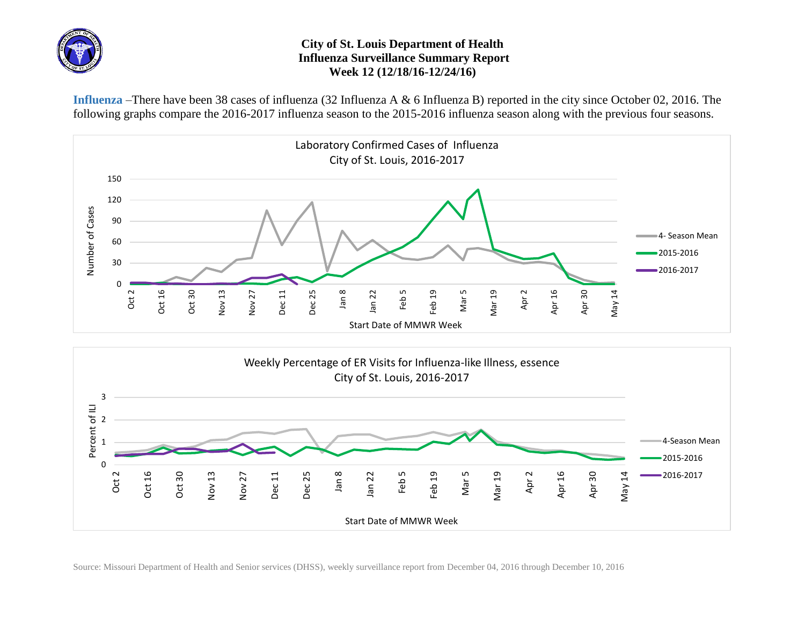

## **City of St. Louis Department of Health Influenza Surveillance Summary Report Week 12 (12/18/16-12/24/16)**

**Influenza** –There have been 38 cases of influenza (32 Influenza A & 6 Influenza B) reported in the city since October 02, 2016. The following graphs compare the 2016-2017 influenza season to the 2015-2016 influenza season along with the previous four seasons.





Source: Missouri Department of Health and Senior services (DHSS), weekly surveillance report from December 04, 2016 through December 10, 2016